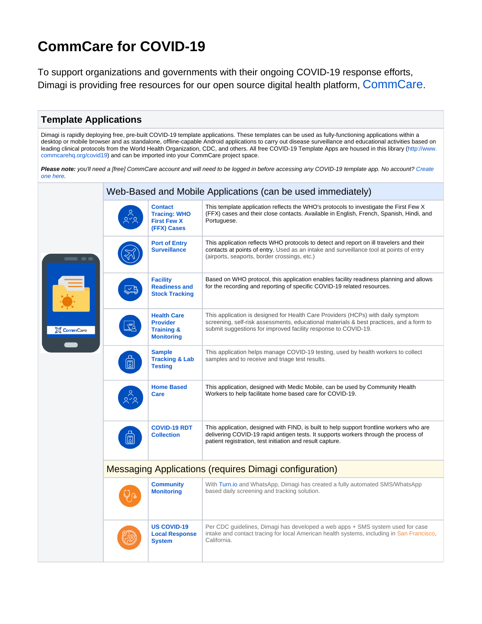# **CommCare for COVID-19**

To support organizations and governments with their ongoing COVID-19 response efforts, Dimagi is providing free resources for our open source digital health platform, [CommCare](https://www.dimagi.com/commcare/).

## **Template Applications**

Dimagi is rapidly deploying free, pre-built COVID-19 template applications. These templates can be used as fully-functioning applications within a desktop or mobile browser and as standalone, offline-capable Android applications to carry out disease surveillance and educational activities based on leading clinical protocols from the World Health Organization, CDC, and others. All free COVID-19 Template Apps are housed in this library [\(http://www.](http://www.commcarehq.org/covid19) [commcarehq.org/covid19](http://www.commcarehq.org/covid19)) and can be imported into your CommCare project space.

Please note: you'll need a [free] CommCare account and will need to be logged in before accessing any COVID-19 template app. No account? Create [one here.](https://www.commcarehq.org/register/user)

| <b>CommCare</b> | Web-Based and Mobile Applications (can be used immediately)   |                                                                                     |                                                                                                                                                                                                                                               |  |
|-----------------|---------------------------------------------------------------|-------------------------------------------------------------------------------------|-----------------------------------------------------------------------------------------------------------------------------------------------------------------------------------------------------------------------------------------------|--|
|                 |                                                               | <b>Contact</b><br><b>Tracing: WHO</b><br><b>First Few X</b><br>(FFX) Cases          | This template application reflects the WHO's protocols to investigate the First Few X<br>(FFX) cases and their close contacts. Available in English, French, Spanish, Hindi, and<br>Portuguese.                                               |  |
|                 |                                                               | <b>Port of Entry</b><br><b>Surveillance</b>                                         | This application reflects WHO protocols to detect and report on ill travelers and their<br>contacts at points of entry. Used as an intake and surveillance tool at points of entry<br>(airports, seaports, border crossings, etc.)            |  |
|                 |                                                               | <b>Facility</b><br><b>Readiness and</b><br><b>Stock Tracking</b>                    | Based on WHO protocol, this application enables facility readiness planning and allows<br>for the recording and reporting of specific COVID-19 related resources.                                                                             |  |
|                 |                                                               | <b>Health Care</b><br><b>Provider</b><br><b>Training &amp;</b><br><b>Monitoring</b> | This application is designed for Health Care Providers (HCPs) with daily symptom<br>screening, self-risk assessments, educational materials & best practices, and a form to<br>submit suggestions for improved facility response to COVID-19. |  |
|                 | 同                                                             | <b>Sample</b><br><b>Tracking &amp; Lab</b><br><b>Testing</b>                        | This application helps manage COVID-19 testing, used by health workers to collect<br>samples and to receive and triage test results.                                                                                                          |  |
|                 |                                                               | <b>Home Based</b><br><b>Care</b>                                                    | This application, designed with Medic Mobile, can be used by Community Health<br>Workers to help facilitate home based care for COVID-19.                                                                                                     |  |
|                 | 同                                                             | <b>COVID-19 RDT</b><br><b>Collection</b>                                            | This application, designed with FIND, is built to help support frontline workers who are<br>delivering COVID-19 rapid antigen tests. It supports workers through the process of<br>patient registration, test initiation and result capture.  |  |
|                 | <b>Messaging Applications (requires Dimagi configuration)</b> |                                                                                     |                                                                                                                                                                                                                                               |  |
|                 |                                                               | <b>Community</b><br><b>Monitoring</b>                                               | With Turn.io and WhatsApp, Dimagi has created a fully automated SMS/WhatsApp<br>based daily screening and tracking solution.                                                                                                                  |  |
|                 |                                                               | <b>US COVID-19</b><br><b>Local Response</b><br><b>System</b>                        | Per CDC guidelines, Dimagi has developed a web apps + SMS system used for case<br>intake and contact tracing for local American health systems, including in San Francisco,<br>California.                                                    |  |